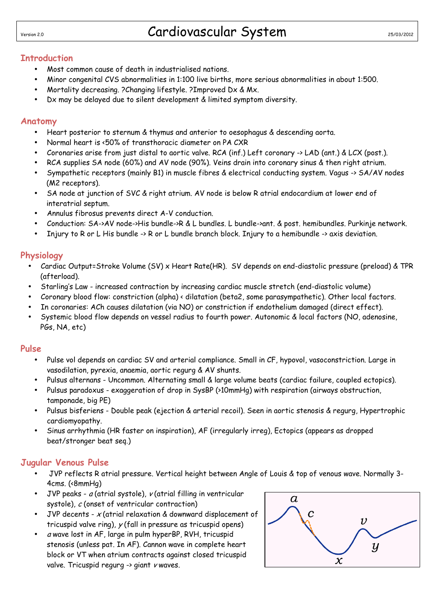# Version 2.0 Cardiovascular System

## **Introduction**

- Most common cause of death in industrialised nations.
- Minor congenital CVS abnormalities in 1:100 live births, more serious abnormalities in about 1:500.
- Mortality decreasing. ?Changing lifestyle. ?Improved Dx & Mx.
- Dx may be delayed due to silent development & limited symptom diversity.

#### **Anatomy**

- Heart posterior to sternum & thymus and anterior to oesophagus & descending aorta.
- Normal heart is <50% of transthoracic diameter on PA CXR
- Coronaries arise from just distal to aortic valve. RCA (inf.) Left coronary -> LAD (ant.) & LCX (post.).
- RCA supplies SA node (60%) and AV node (90%). Veins drain into coronary sinus & then right atrium.
- Sympathetic receptors (mainly B1) in muscle fibres & electrical conducting system. Vagus -> SA/AV nodes (M2 receptors).
- SA node at junction of SVC & right atrium. AV node is below R atrial endocardium at lower end of interatrial septum.
- Annulus fibrosus prevents direct A-V conduction.
- Conduction: SA->AV node->His bundle->R & L bundles. L bundle->ant. & post. hemibundles. Purkinje network.
- Injury to R or L His bundle -> R or L bundle branch block. Injury to a hemibundle -> axis deviation.

### **Physiology**

- Cardiac Output=Stroke Volume (SV) x Heart Rate(HR). SV depends on end-diastolic pressure (preload) & TPR (afterload).
- Starling's Law increased contraction by increasing cardiac muscle stretch (end-diastolic volume)
- Coronary blood flow: constriction (alpha) < dilatation (beta2, some parasympathetic). Other local factors.
- In coronaries: ACh causes dilatation (via NO) or constriction if endothelium damaged (direct effect).
- Systemic blood flow depends on vessel radius to fourth power. Autonomic & local factors (NO, adenosine, PGs, NA, etc)

#### **Pulse**

- Pulse vol depends on cardiac SV and arterial compliance. Small in CF, hypovol, vasoconstriction. Large in vasodilation, pyrexia, anaemia, aortic regurg & AV shunts.
- Pulsus alternans Uncommon. Alternating small & large volume beats (cardiac failure, coupled ectopics).
- Pulsus paradoxus exaggeration of drop in SysBP (>10mmHg) with respiration (airways obstruction, tamponade, big PE)
- Pulsus bisferiens Double peak (ejection & arterial recoil). Seen in aortic stenosis & regurg, Hypertrophic cardiomyopathy.
- Sinus arrhythmia (HR faster on inspiration), AF (irregularly irreg), Ectopics (appears as dropped beat/stronger beat seq.)

#### **Jugular Venous Pulse**

- JVP reflects R atrial pressure. Vertical height between Angle of Louis & top of venous wave. Normally 3- 4cms. (<8mmHg)
- JVP peaks  $a$  (atrial systole),  $v$  (atrial filling in ventricular systole),  $c$  (onset of ventricular contraction)
- JVP decents  $x$  (atrial relaxation & downward displacement of tricuspid valve ring),  $y$  (fall in pressure as tricuspid opens)
- a wave lost in AF, large in pulm hyperBP, RVH, tricuspid stenosis (unless pat. In AF). Cannon wave in complete heart block or VT when atrium contracts against closed tricuspid valve. Tricuspid regurg  $\rightarrow$  giant v waves.